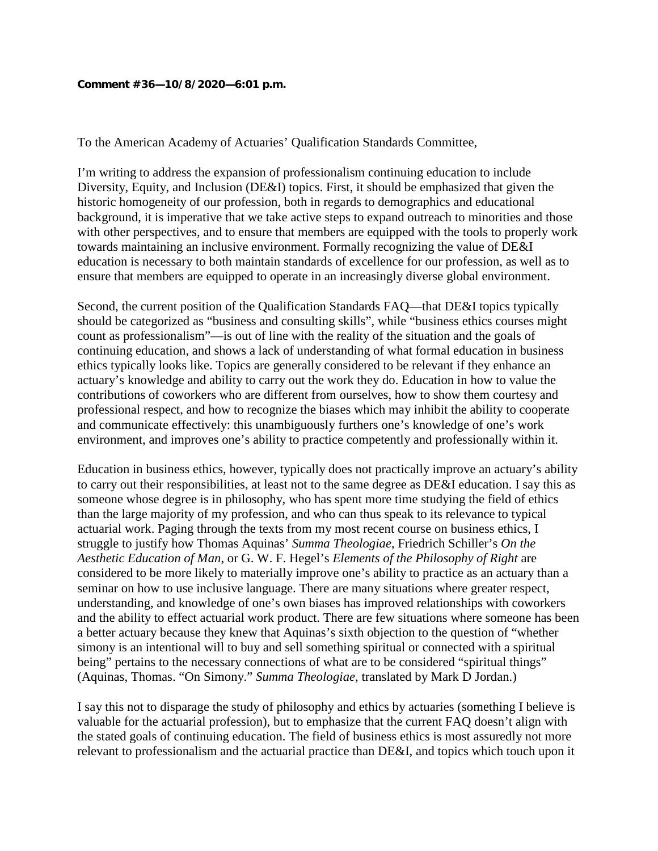## **Comment #36—10/8/2020—6:01 p.m.**

To the American Academy of Actuaries' Qualification Standards Committee,

I'm writing to address the expansion of professionalism continuing education to include Diversity, Equity, and Inclusion (DE&I) topics. First, it should be emphasized that given the historic homogeneity of our profession, both in regards to demographics and educational background, it is imperative that we take active steps to expand outreach to minorities and those with other perspectives, and to ensure that members are equipped with the tools to properly work towards maintaining an inclusive environment. Formally recognizing the value of DE&I education is necessary to both maintain standards of excellence for our profession, as well as to ensure that members are equipped to operate in an increasingly diverse global environment.

Second, the current position of the Qualification Standards FAQ—that DE&I topics typically should be categorized as "business and consulting skills", while "business ethics courses might count as professionalism"—is out of line with the reality of the situation and the goals of continuing education, and shows a lack of understanding of what formal education in business ethics typically looks like. Topics are generally considered to be relevant if they enhance an actuary's knowledge and ability to carry out the work they do. Education in how to value the contributions of coworkers who are different from ourselves, how to show them courtesy and professional respect, and how to recognize the biases which may inhibit the ability to cooperate and communicate effectively: this unambiguously furthers one's knowledge of one's work environment, and improves one's ability to practice competently and professionally within it.

Education in business ethics, however, typically does not practically improve an actuary's ability to carry out their responsibilities, at least not to the same degree as DE&I education. I say this as someone whose degree is in philosophy, who has spent more time studying the field of ethics than the large majority of my profession, and who can thus speak to its relevance to typical actuarial work. Paging through the texts from my most recent course on business ethics, I struggle to justify how Thomas Aquinas' *Summa Theologiae*, Friedrich Schiller's *On the Aesthetic Education of Man*, or G. W. F. Hegel's *Elements of the Philosophy of Right* are considered to be more likely to materially improve one's ability to practice as an actuary than a seminar on how to use inclusive language. There are many situations where greater respect, understanding, and knowledge of one's own biases has improved relationships with coworkers and the ability to effect actuarial work product. There are few situations where someone has been a better actuary because they knew that Aquinas's sixth objection to the question of "whether simony is an intentional will to buy and sell something spiritual or connected with a spiritual being" pertains to the necessary connections of what are to be considered "spiritual things" (Aquinas, Thomas. "On Simony." *Summa Theologiae*, translated by Mark D Jordan.)

I say this not to disparage the study of philosophy and ethics by actuaries (something I believe is valuable for the actuarial profession), but to emphasize that the current FAQ doesn't align with the stated goals of continuing education. The field of business ethics is most assuredly not more relevant to professionalism and the actuarial practice than DE&I, and topics which touch upon it